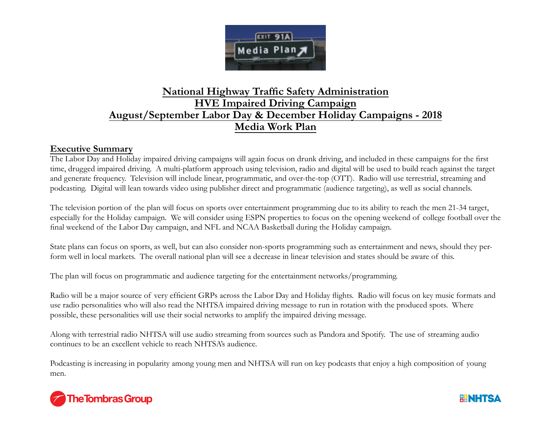

## **National Highway Traffic Safety Administration HVE Impaired Driving Campaign August/September Labor Day & December Holiday Campaigns - 2018 Media Work Plan**

## **Executive Summary**

The Labor Day and Holiday impaired driving campaigns will again focus on drunk driving, and included in these campaigns for the first time, drugged impaired driving. A multi-platform approach using television, radio and digital will be used to build reach against the target and generate frequency. Television will include linear, programmatic, and over-the-top (OTT). Radio will use terrestrial, streaming and podcasting. Digital will lean towards video using publisher direct and programmatic (audience targeting), as well as social channels.

The television portion of the plan will focus on sports over entertainment programming due to its ability to reach the men 21-34 target, especially for the Holiday campaign. We will consider using ESPN properties to focus on the opening weekend of college football over the final weekend of the Labor Day campaign, and NFL and NCAA Basketball during the Holiday campaign.

State plans can focus on sports, as well, but can also consider non-sports programming such as entertainment and news, should they perform well in local markets. The overall national plan will see a decrease in linear television and states should be aware of this.

The plan will focus on programmatic and audience targeting for the entertainment networks/programming.

Radio will be a major source of very efficient GRPs across the Labor Day and Holiday flights. Radio will focus on key music formats and use radio personalities who will also read the NHTSA impaired driving message to run in rotation with the produced spots. Where possible, these personalities will use their social networks to amplify the impaired driving message.

Along with terrestrial radio NHTSA will use audio streaming from sources such as Pandora and Spotify. The use of streaming audio continues to be an excellent vehicle to reach NHTSA's audience.

Podcasting is increasing in popularity among young men and NHTSA will run on key podcasts that enjoy a high composition of young men.



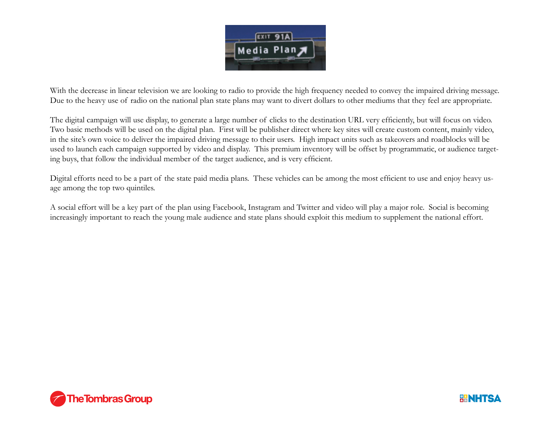

With the decrease in linear television we are looking to radio to provide the high frequency needed to convey the impaired driving message. Due to the heavy use of radio on the national plan state plans may want to divert dollars to other mediums that they feel are appropriate.

The digital campaign will use display, to generate a large number of clicks to the destination URL very efficiently, but will focus on video. Two basic methods will be used on the digital plan. First will be publisher direct where key sites will create custom content, mainly video, in the site's own voice to deliver the impaired driving message to their users. High impact units such as takeovers and roadblocks will be used to launch each campaign supported by video and display. This premium inventory will be offset by programmatic, or audience targeting buys, that follow the individual member of the target audience, and is very efficient.

Digital efforts need to be a part of the state paid media plans. These vehicles can be among the most efficient to use and enjoy heavy usage among the top two quintiles.

A social effort will be a key part of the plan using Facebook, Instagram and Twitter and video will play a major role. Social is becoming increasingly important to reach the young male audience and state plans should exploit this medium to supplement the national effort.



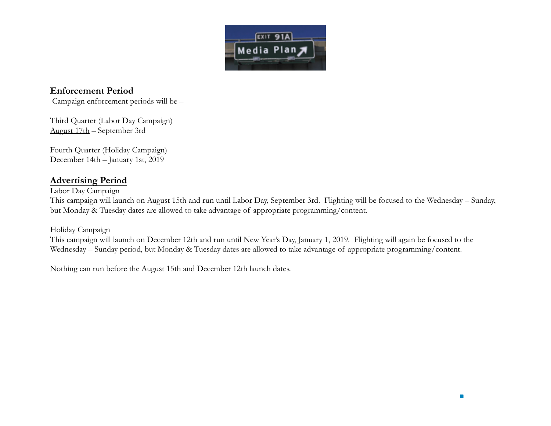

## **Enforcement Period**

Campaign enforcement periods will be –

Third Quarter (Labor Day Campaign) August 17th – September 3rd

Fourth Quarter (Holiday Campaign) December 14th – January 1st, 2019

## **Advertising Period**

### Labor Day Campaign

This campaign will launch on August 15th and run until Labor Day, September 3rd. Flighting will be focused to the Wednesday – Sunday, but Monday & Tuesday dates are allowed to take advantage of appropriate programming/content.

### Holiday Campaign

This campaign will launch on December 12th and run until New Year's Day, January 1, 2019. Flighting will again be focused to the Wednesday – Sunday period, but Monday & Tuesday dates are allowed to take advantage of appropriate programming/content.

Nothing can run before the August 15th and December 12th launch dates.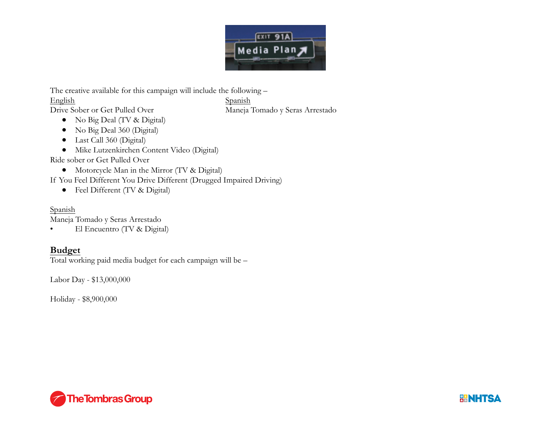

The creative available for this campaign will include the following –

English Spanish

Drive Sober or Get Pulled Over Maneja Tomado y Seras Arrestado

- No Big Deal (TV & Digital)
- No Big Deal 360 (Digital)
- Last Call 360 (Digital)
- Mike Lutzenkirchen Content Video (Digital)

Ride sober or Get Pulled Over

• Motorcycle Man in the Mirror (TV & Digital)

If You Feel Different You Drive Different (Drugged Impaired Driving)

• Feel Different (TV & Digital)

Spanish Maneja Tomado y Seras Arrestado

• El Encuentro (TV & Digital)

## **Budget**

Total working paid media budget for each campaign will be –

Labor Day - \$13,000,000

Holiday - \$8,900,000



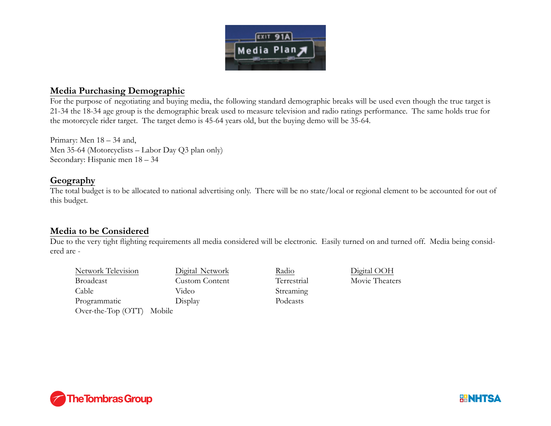

## **Media Purchasing Demographic**

For the purpose of negotiating and buying media, the following standard demographic breaks will be used even though the true target is 21-34 the 18-34 age group is the demographic break used to measure television and radio ratings performance. The same holds true for the motorcycle rider target. The target demo is 45-64 years old, but the buying demo will be 35-64.

Primary: Men 18 – 34 and, Men 35-64 (Motorcyclists – Labor Day Q3 plan only) Secondary: Hispanic men 18 – 34

## **Geography**

The total budget is to be allocated to national advertising only. There will be no state/local or regional element to be accounted for out of this budget.

## **Media to be Considered**

Due to the very tight flighting requirements all media considered will be electronic. Easily turned on and turned off. Media being considered are -

Network Television Digital Network Radio Digital OOH **Broadcast** Cable Video Streaming Programmatic Display Podcasts Over-the-Top (OTT) Mobile

Custom Content Terrestrial Movie Theaters



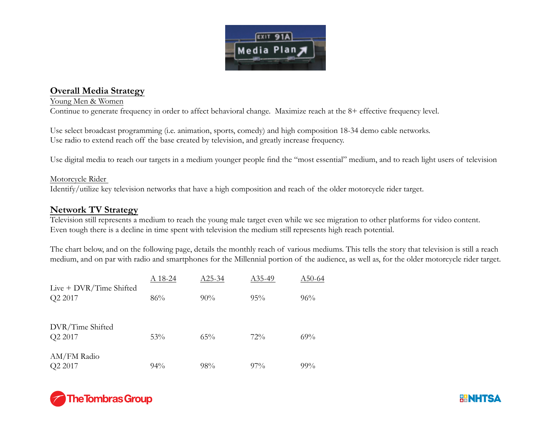

## **Overall Media Strategy**

### Young Men & Women

Continue to generate frequency in order to affect behavioral change. Maximize reach at the 8+ effective frequency level.

Use select broadcast programming (i.e. animation, sports, comedy) and high composition 18-34 demo cable networks. Use radio to extend reach off the base created by television, and greatly increase frequency.

Use digital media to reach our targets in a medium younger people find the "most essential" medium, and to reach light users of television

### Motorcycle Rider

Identify/utilize key television networks that have a high composition and reach of the older motorcycle rider target.

### **Network TV Strategy**

Television still represents a medium to reach the young male target even while we see migration to other platforms for video content. Even tough there is a decline in time spent with television the medium still represents high reach potential.

The chart below, and on the following page, details the monthly reach of various mediums. This tells the story that television is still a reach medium, and on par with radio and smartphones for the Millennial portion of the audience, as well as, for the older motorcycle rider target.

|                                      | A 18-24 | $A25-34$ | A <sub>35</sub> -49 | A50-64 |
|--------------------------------------|---------|----------|---------------------|--------|
| Live $+$ DVR/Time Shifted<br>Q2 2017 | 86%     | $90\%$   | $95\%$              | 96%    |
| DVR/Time Shifted<br>Q2 2017          | 53%     | 65%      | 72%                 | 69%    |
| AM/FM Radio<br>Q2 2017               | $94\%$  | 98%      | $97\%$              | $99\%$ |



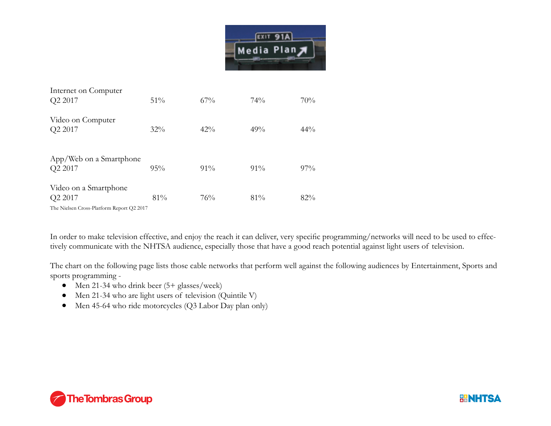

| Internet on Computer<br>Q2 2017                                               | 51%    | 67%    | 74%    | 70%    |
|-------------------------------------------------------------------------------|--------|--------|--------|--------|
| Video on Computer<br>Q2 2017                                                  | $32\%$ | $42\%$ | 49%    | 44%    |
| App/Web on a Smartphone<br>Q2 2017                                            | 95%    | $91\%$ | $91\%$ | $97\%$ |
| Video on a Smartphone<br>Q2 2017<br>The Nielsen Cross-Platform Report Q2 2017 | 81%    | 76%    | 81%    | 82%    |

In order to make television effective, and enjoy the reach it can deliver, very specific programming/networks will need to be used to effectively communicate with the NHTSA audience, especially those that have a good reach potential against light users of television.

The chart on the following page lists those cable networks that perform well against the following audiences by Entertainment, Sports and sports programming -

- Men 21-34 who drink beer  $(5 + \text{glass}/\text{week})$
- Men 21-34 who are light users of television (Quintile V)
- Men 45-64 who ride motorcycles (Q3 Labor Day plan only)



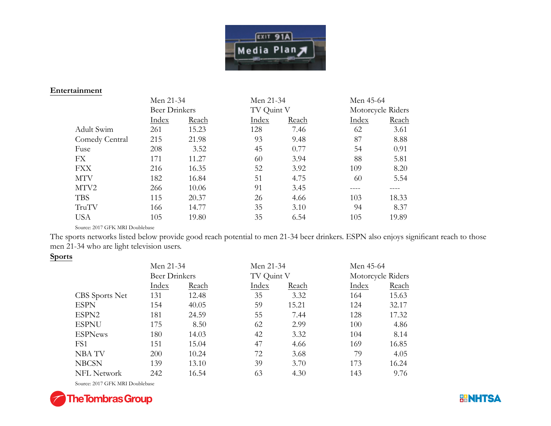

#### **Entertainment**

|                | Men 21-34            |       | Men 21-34  |       | Men 45-64 |                   |
|----------------|----------------------|-------|------------|-------|-----------|-------------------|
|                | <b>Beer Drinkers</b> |       | TV Quint V |       |           | Motorcycle Riders |
|                | Index                | Reach | Index      | Reach | Index     | Reach             |
| Adult Swim     | 261                  | 15.23 | 128        | 7.46  | 62        | 3.61              |
| Comedy Central | 215                  | 21.98 | 93         | 9.48  | 87        | 8.88              |
| Fuse           | 208                  | 3.52  | 45         | 0.77  | 54        | 0.91              |
| FX             | 171                  | 11.27 | 60         | 3.94  | 88        | 5.81              |
| <b>FXX</b>     | 216                  | 16.35 | 52         | 3.92  | 109       | 8.20              |
| <b>MTV</b>     | 182                  | 16.84 | 51         | 4.75  | 60        | 5.54              |
| MTV2           | 266                  | 10.06 | 91         | 3.45  |           |                   |
| <b>TBS</b>     | 115                  | 20.37 | 26         | 4.66  | 103       | 18.33             |
| TruTV          | 166                  | 14.77 | 35         | 3.10  | 94        | 8.37              |
| <b>USA</b>     | 105                  | 19.80 | 35         | 6.54  | 105       | 19.89             |

Source: 2017 GFK MRI Doublebase

The sports networks listed below provide good reach potential to men 21-34 beer drinkers. ESPN also enjoys significant reach to those men 21-34 who are light television users.

### **Sports**

|                    | Men 21-34            |       | Men 21-34  |       | Men 45-64 |                   |
|--------------------|----------------------|-------|------------|-------|-----------|-------------------|
|                    | <b>Beer Drinkers</b> |       | TV Quint V |       |           | Motorcycle Riders |
|                    | Index                | Reach | Index      | Reach | Index     | Reach             |
| CBS Sports Net     | 131                  | 12.48 | 35         | 3.32  | 164       | 15.63             |
| <b>ESPN</b>        | 154                  | 40.05 | 59         | 15.21 | 124       | 32.17             |
| ESPN2              | 181                  | 24.59 | 55         | 7.44  | 128       | 17.32             |
| <b>ESPNU</b>       | 175                  | 8.50  | 62         | 2.99  | 100       | 4.86              |
| <b>ESPNews</b>     | 180                  | 14.03 | 42         | 3.32  | 104       | 8.14              |
| FS1                | 151                  | 15.04 | 47         | 4.66  | 169       | 16.85             |
| NBA TV             | 200                  | 10.24 | 72         | 3.68  | 79        | 4.05              |
| <b>NBCSN</b>       | 139                  | 13.10 | 39         | 3.70  | 173       | 16.24             |
| <b>NFL Network</b> | 242                  | 16.54 | 63         | 4.30  | 143       | 9.76              |

Source: 2017 GFK MRI Doublebase



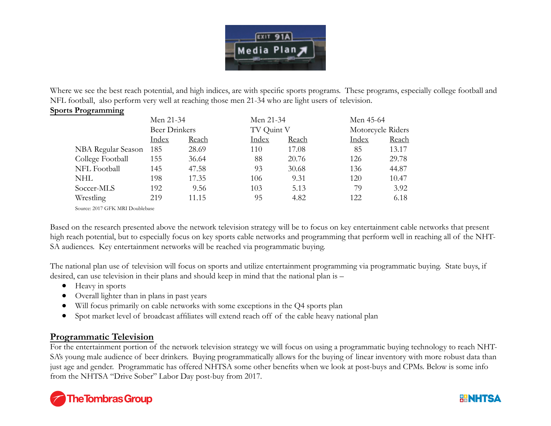

Where we see the best reach potential, and high indices, are with specific sports programs. These programs, especially college football and NFL football, also perform very well at reaching those men 21-34 who are light users of television.

### **Sports Programming**

|                    | Men 21-34            |       | Men 21-34  |       | Men 45-64         |       |
|--------------------|----------------------|-------|------------|-------|-------------------|-------|
|                    | <b>Beer Drinkers</b> |       | TV Quint V |       | Motorcycle Riders |       |
|                    | Index                | Reach | Index      | Reach | Index             | Reach |
| NBA Regular Season | 185                  | 28.69 | 110        | 17.08 | 85                | 13.17 |
| College Football   | 155                  | 36.64 | 88         | 20.76 | 126               | 29.78 |
| NFL Football       | 145                  | 47.58 | 93         | 30.68 | 136               | 44.87 |
| NHL                | 198                  | 17.35 | 106        | 9.31  | 120               | 10.47 |
| Soccer-MLS         | 192                  | 9.56  | 103        | 5.13  | 79                | 3.92  |
| Wrestling          | 219                  | 11.15 | 95         | 4.82  | 122               | 6.18  |

Source: 2017 GFK MRI Doublebase

Based on the research presented above the network television strategy will be to focus on key entertainment cable networks that present high reach potential, but to especially focus on key sports cable networks and programming that perform well in reaching all of the NHT-SA audiences. Key entertainment networks will be reached via programmatic buying.

The national plan use of television will focus on sports and utilize entertainment programming via programmatic buying. State buys, if desired, can use television in their plans and should keep in mind that the national plan is –

- Heavy in sports
- Overall lighter than in plans in past years
- Will focus primarily on cable networks with some exceptions in the Q4 sports plan
- Spot market level of broadcast affiliates will extend reach off of the cable heavy national plan

## **Programmatic Television**

For the entertainment portion of the network television strategy we will focus on using a programmatic buying technology to reach NHT-SA's young male audience of beer drinkers. Buying programmatically allows for the buying of linear inventory with more robust data than just age and gender. Programmatic has offered NHTSA some other benefits when we look at post-buys and CPMs. Below is some info from the NHTSA "Drive Sober" Labor Day post-buy from 2017.



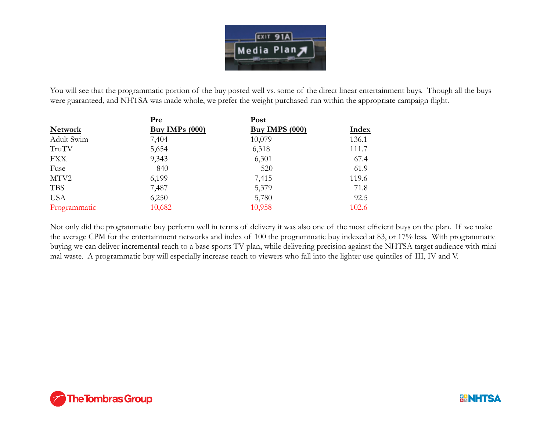

You will see that the programmatic portion of the buy posted well vs. some of the direct linear entertainment buys. Though all the buys were guaranteed, and NHTSA was made whole, we prefer the weight purchased run within the appropriate campaign flight.

|                | Pre              | Post                  |       |
|----------------|------------------|-----------------------|-------|
| <b>Network</b> | Buy IMPs $(000)$ | <b>Buy IMPS (000)</b> | Index |
| Adult Swim     | 7,404            | 10,079                | 136.1 |
| TruTV          | 5,654            | 6,318                 | 111.7 |
| <b>FXX</b>     | 9,343            | 6,301                 | 67.4  |
| Fuse           | 840              | 520                   | 61.9  |
| MTV2           | 6,199            | 7,415                 | 119.6 |
| <b>TBS</b>     | 7,487            | 5,379                 | 71.8  |
| <b>USA</b>     | 6,250            | 5,780                 | 92.5  |
| Programmatic   | 10,682           | 10,958                | 102.6 |

Not only did the programmatic buy perform well in terms of delivery it was also one of the most efficient buys on the plan. If we make the average CPM for the entertainment networks and index of 100 the programmatic buy indexed at 83, or 17% less. With programmatic buying we can deliver incremental reach to a base sports TV plan, while delivering precision against the NHTSA target audience with minimal waste. A programmatic buy will especially increase reach to viewers who fall into the lighter use quintiles of III, IV and V.



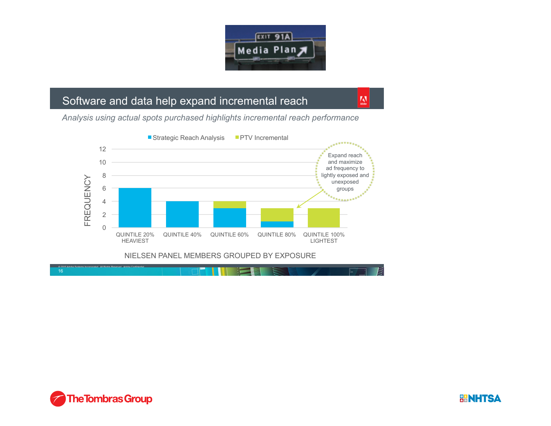

W

# Software and data help expand incremental reach

*Analysis using actual spots purchased highlights incremental reach performance* 







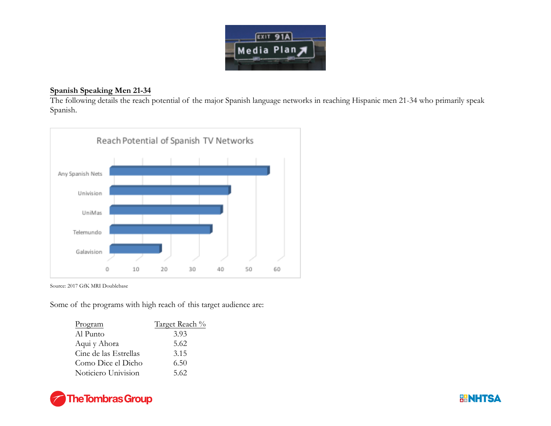

### **Spanish Speaking Men 21-34**

The following details the reach potential of the major Spanish language networks in reaching Hispanic men 21-34 who primarily speak Spanish.



Source: 2017 GfK MRI Doublebase

Some of the programs with high reach of this target audience are:

| Program               | Target Reach % |
|-----------------------|----------------|
| Al Punto              | 3.93           |
| Aqui y Ahora          | 5.62           |
| Cine de las Estrellas | 3.15           |
| Como Dice el Dicho    | 6.50           |
| Noticiero Univision   | 5.62           |



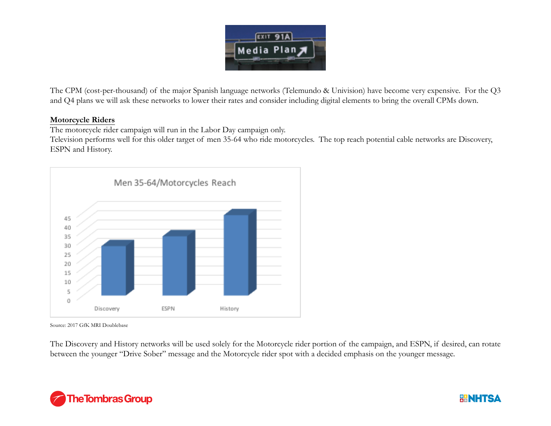

The CPM (cost-per-thousand) of the major Spanish language networks (Telemundo & Univision) have become very expensive. For the Q3 and Q4 plans we will ask these networks to lower their rates and consider including digital elements to bring the overall CPMs down.

### **Motorcycle Riders**

The motorcycle rider campaign will run in the Labor Day campaign only.

Television performs well for this older target of men 35-64 who ride motorcycles. The top reach potential cable networks are Discovery, ESPN and History.



Source: 2017 GfK MRI Doublebase

The Discovery and History networks will be used solely for the Motorcycle rider portion of the campaign, and ESPN, if desired, can rotate between the younger "Drive Sober" message and the Motorcycle rider spot with a decided emphasis on the younger message.



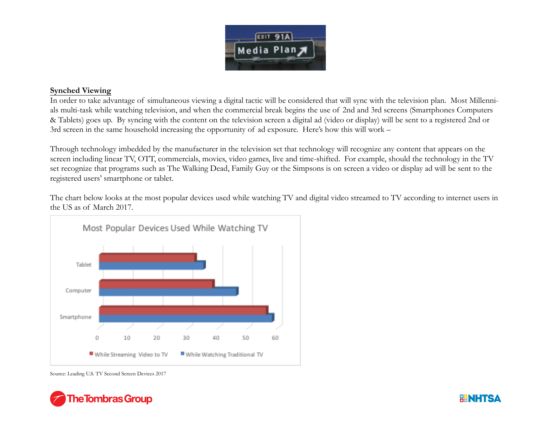

### **Synched Viewing**

In order to take advantage of simultaneous viewing a digital tactic will be considered that will sync with the television plan. Most Millennials multi-task while watching television, and when the commercial break begins the use of 2nd and 3rd screens (Smartphones Computers & Tablets) goes up. By syncing with the content on the television screen a digital ad (video or display) will be sent to a registered 2nd or 3rd screen in the same household increasing the opportunity of ad exposure. Here's how this will work –

Through technology imbedded by the manufacturer in the television set that technology will recognize any content that appears on the screen including linear TV, OTT, commercials, movies, video games, live and time-shifted. For example, should the technology in the TV set recognize that programs such as The Walking Dead, Family Guy or the Simpsons is on screen a video or display ad will be sent to the registered users' smartphone or tablet.

The chart below looks at the most popular devices used while watching TV and digital video streamed to TV according to internet users in the US as of March 2017.



Source: Leading U.S. TV Second Screen Devices 2017



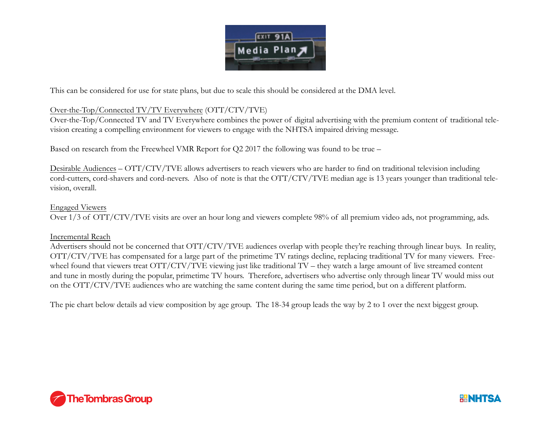

This can be considered for use for state plans, but due to scale this should be considered at the DMA level.

### Over-the-Top/Connected TV/TV Everywhere (OTT/CTV/TVE)

Over-the-Top/Connected TV and TV Everywhere combines the power of digital advertising with the premium content of traditional television creating a compelling environment for viewers to engage with the NHTSA impaired driving message.

Based on research from the Freewheel VMR Report for Q2 2017 the following was found to be true –

Desirable Audiences – OTT/CTV/TVE allows advertisers to reach viewers who are harder to find on traditional television including cord-cutters, cord-shavers and cord-nevers. Also of note is that the OTT/CTV/TVE median age is 13 years younger than traditional television, overall.

### Engaged Viewers

Over 1/3 of OTT/CTV/TVE visits are over an hour long and viewers complete 98% of all premium video ads, not programming, ads.

### Incremental Reach

Advertisers should not be concerned that OTT/CTV/TVE audiences overlap with people they're reaching through linear buys. In reality, OTT/CTV/TVE has compensated for a large part of the primetime TV ratings decline, replacing traditional TV for many viewers. Freewheel found that viewers treat OTT/CTV/TVE viewing just like traditional TV – they watch a large amount of live streamed content and tune in mostly during the popular, primetime TV hours. Therefore, advertisers who advertise only through linear TV would miss out on the OTT/CTV/TVE audiences who are watching the same content during the same time period, but on a different platform.

The pie chart below details ad view composition by age group. The 18-34 group leads the way by 2 to 1 over the next biggest group.



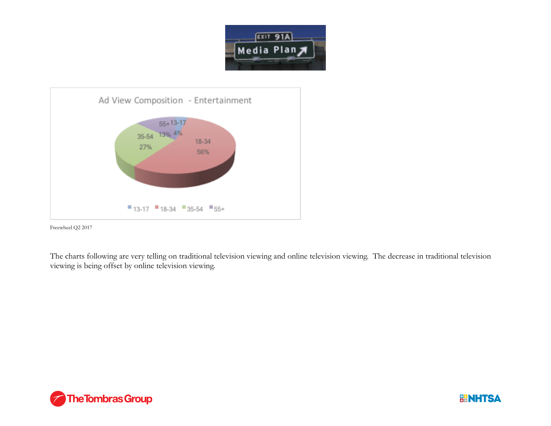



Freewheel Q2 2017

The charts following are very telling on traditional television viewing and online television viewing. The decrease in traditional television viewing is being offset by online television viewing.



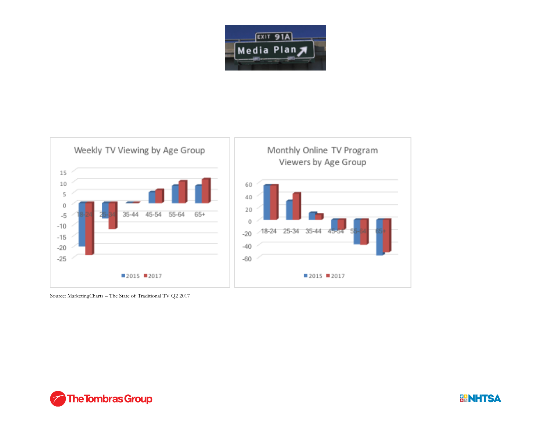



Source: MarketingCharts – The State of Traditional TV Q2 2017



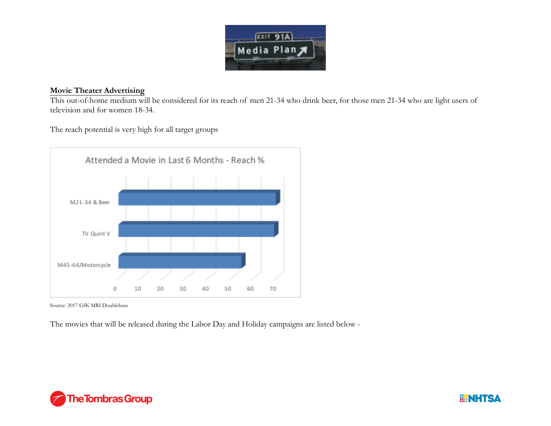

### **Movie Theater Advertising**

 This out-of-home medium will be considered for its reach of men 21-34 who drink beer, for those men 21-34 who are light users of television and for women 18-34.

The reach potential is very high for all target groups



Source: 2017 GfK MRI Doublebase

The movies that will be released during the Labor Day and Holiday campaigns are listed below -



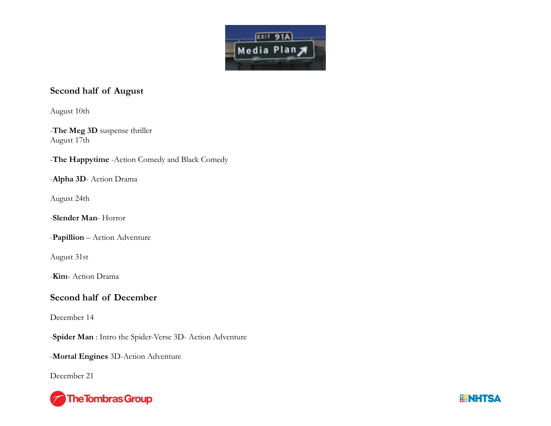

## **Second half of August**

August 10th

-**The Meg 3D** suspense thriller August 17th

-**The Happytime** -Action Comedy and Black Comedy

-**Alpha 3D**- Action Drama

August 24th

-**Slender Man**- Horror

-**Papillion** – Action Adventure

August 31st

-**Kim**- Action Drama

## **Second half of December**

December 14

-**Spider Man** : Intro the Spider-Verse 3D- Action Adventure

-**Mortal Engines** 3D-Action Adventure

December 21



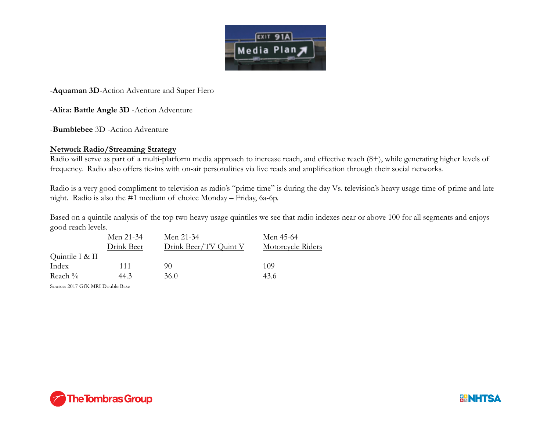

-**Aquaman 3D**-Action Adventure and Super Hero

-**Alita: Battle Angle 3D** -Action Adventure

-**Bumblebee** 3D -Action Adventure

### **Network Radio/Streaming Strategy**

Radio will serve as part of a multi-platform media approach to increase reach, and effective reach (8+), while generating higher levels of frequency. Radio also offers tie-ins with on-air personalities via live reads and amplification through their social networks.

Radio is a very good compliment to television as radio's "prime time" is during the day Vs. television's heavy usage time of prime and late night. Radio is also the #1 medium of choice Monday – Friday, 6a-6p.

Based on a quintile analysis of the top two heavy usage quintiles we see that radio indexes near or above 100 for all segments and enjoys good reach levels.

| Motorcycle Riders |
|-------------------|
|                   |
|                   |
|                   |
|                   |

Source: 2017 GfK MRI Double Base



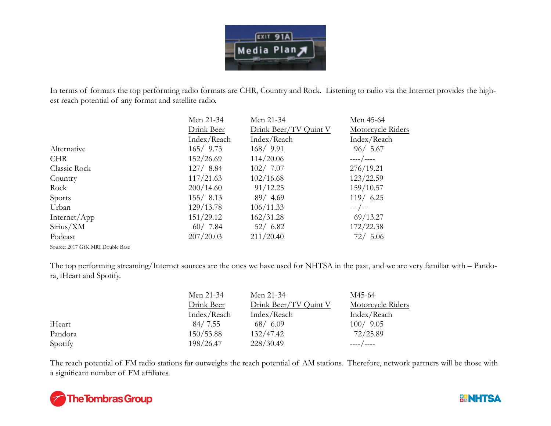

In terms of formats the top performing radio formats are CHR, Country and Rock. Listening to radio via the Internet provides the highest reach potential of any format and satellite radio.

| Men 21-34   | Men 21-34             | Men 45-64         |
|-------------|-----------------------|-------------------|
| Drink Beer  | Drink Beer/TV Quint V | Motorcycle Riders |
| Index/Reach | Index/Reach           | Index/Reach       |
| 165/9.73    | 168/9.91              | 96/5.67           |
| 152/26.69   | 114/20.06             | ----/----         |
| 127/8.84    | 102/7.07              | 276/19.21         |
| 117/21.63   | 102/16.68             | 123/22.59         |
| 200/14.60   | 91/12.25              | 159/10.57         |
| 155/8.13    | 89/4.69               | $119/$ 6.25       |
| 129/13.78   | 106/11.33             | $---/---$         |
| 151/29.12   | 162/31.28             | 69/13.27          |
| 60/7.84     | 52/6.82               | 172/22.38         |
| 207/20.03   | 211/20.40             | 72/5.06           |
|             |                       |                   |

Source: 2017 GfK MRI Double Base

The top performing streaming/Internet sources are the ones we have used for NHTSA in the past, and we are very familiar with – Pandora, iHeart and Spotify.

|         | Men 21-34   | Men 21-34             | M45-64            |
|---------|-------------|-----------------------|-------------------|
|         | Drink Beer  | Drink Beer/TV Quint V | Motorcycle Riders |
|         | Index/Reach | Index/Reach           | Index/Reach       |
| iHeart  | 84/7.55     | 68/6.09               | 100/9.05          |
| Pandora | 150/53.88   | 132/47.42             | 72/25.89          |
| Spotify | 198/26.47   | 228/30.49             | ____ / ____       |

The reach potential of FM radio stations far outweighs the reach potential of AM stations. Therefore, network partners will be those with a significant number of FM affiliates.



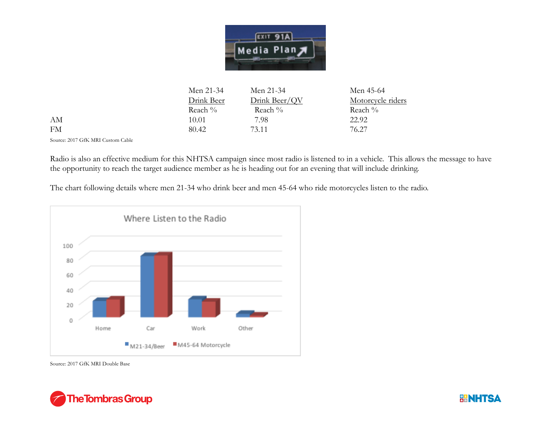

|    | Men 21-34  | Men 21-34     | Men 45-64         |
|----|------------|---------------|-------------------|
|    | Drink Beer | Drink Beer/QV | Motorcycle riders |
|    | Reach $\%$ | Reach %       | Reach %           |
| AМ | 10.01      | 7.98          | 22.92             |
| FM | 80.42      | 73.11         | 76.27             |

Source: 2017 GfK MRI Custom Cable

 $AM$ **FM** 

Radio is also an effective medium for this NHTSA campaign since most radio is listened to in a vehicle. This allows the message to have the opportunity to reach the target audience member as he is heading out for an evening that will include drinking.

The chart following details where men 21-34 who drink beer and men 45-64 who ride motorcycles listen to the radio.



Source: 2017 GfK MRI Double Base



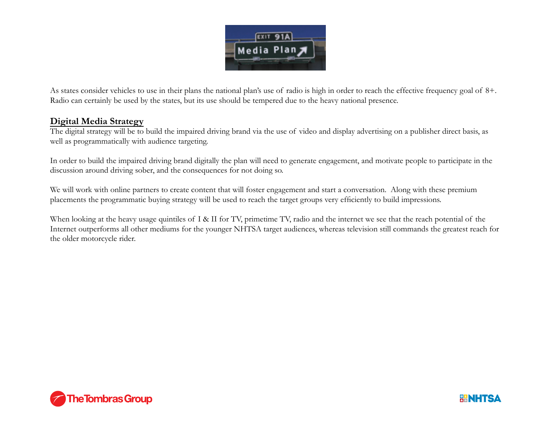

As states consider vehicles to use in their plans the national plan's use of radio is high in order to reach the effective frequency goal of 8+. Radio can certainly be used by the states, but its use should be tempered due to the heavy national presence.

## **Digital Media Strategy**

The digital strategy will be to build the impaired driving brand via the use of video and display advertising on a publisher direct basis, as well as programmatically with audience targeting.

In order to build the impaired driving brand digitally the plan will need to generate engagement, and motivate people to participate in the discussion around driving sober, and the consequences for not doing so.

We will work with online partners to create content that will foster engagement and start a conversation. Along with these premium placements the programmatic buying strategy will be used to reach the target groups very efficiently to build impressions.

When looking at the heavy usage quintiles of I & II for TV, primetime TV, radio and the internet we see that the reach potential of the Internet outperforms all other mediums for the younger NHTSA target audiences, whereas television still commands the greatest reach for the older motorcycle rider.



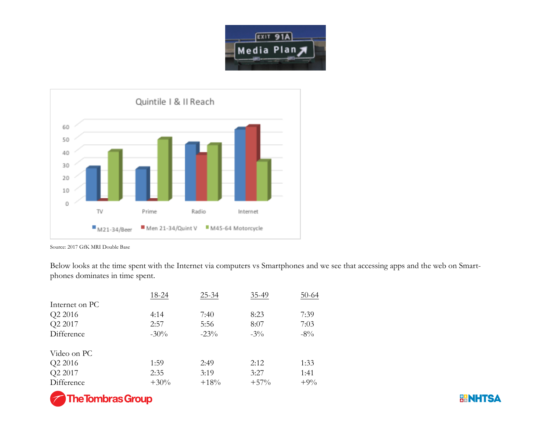



Source: 2017 GfK MRI Double Base

Below looks at the time spent with the Internet via computers vs Smartphones and we see that accessing apps and the web on Smartphones dominates in time spent.

|                | 18-24   | $25 - 34$ | 35-49  | $50-64$ |
|----------------|---------|-----------|--------|---------|
| Internet on PC |         |           |        |         |
| Q2 2016        | 4:14    | 7:40      | 8:23   | 7:39    |
| Q2 2017        | 2:57    | 5:56      | 8:07   | 7:03    |
| Difference     | $-30\%$ | $-23\%$   | $-3\%$ | $-8\%$  |
| Video on PC    |         |           |        |         |
| Q2 2016        | 1:59    | 2:49      | 2:12   | 1:33    |
| Q2 2017        | 2:35    | 3:19      | 3:27   | 1:41    |
| Difference     | $+30%$  | $+18%$    | $+57%$ | $+9\%$  |



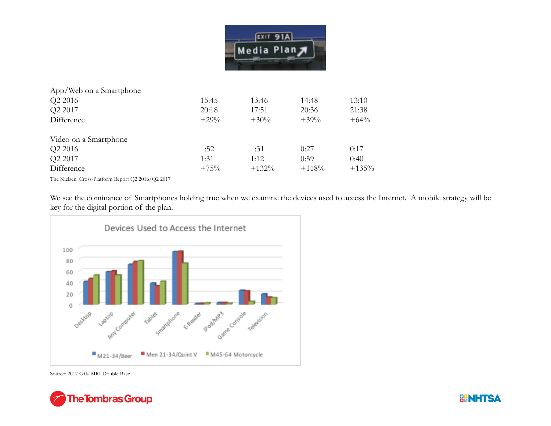

| 15:45   | 13:46   | 14:48   | 13:10   |
|---------|---------|---------|---------|
| 20:18   | 17:51   | 20:36   | 21:38   |
| $+29\%$ | $+30\%$ | $+39\%$ | $+64%$  |
|         |         |         |         |
| :52     | :31     | 0:27    | 0:17    |
| 1:31    | 1:12    | 0:59    | 0:40    |
| $+75%$  | $+132%$ | $+118%$ | $+135%$ |
|         |         |         |         |

The Nielsen Cross-Platform Report Q2 2016/Q2 2017

We see the dominance of Smartphones holding true when we examine the devices used to access the Internet. A mobile strategy will be key for the digital portion of the plan.



Source: 2017 GfK MRI Double Base



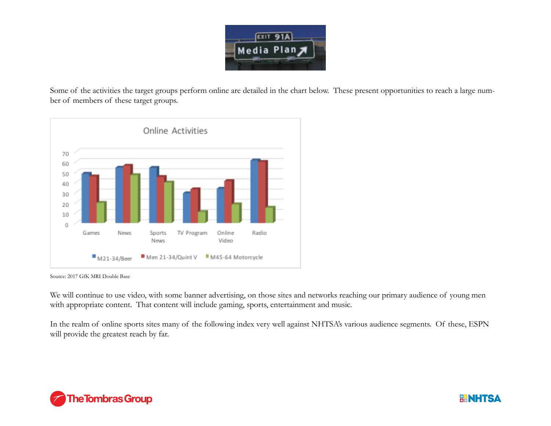![](_page_25_Picture_0.jpeg)

Some of the activities the target groups perform online are detailed in the chart below. These present opportunities to reach a large number of members of these target groups.

![](_page_25_Figure_2.jpeg)

Source: 2017 GfK MRI Double Base

We will continue to use video, with some banner advertising, on those sites and networks reaching our primary audience of young men with appropriate content. That content will include gaming, sports, entertainment and music.

In the realm of online sports sites many of the following index very well against NHTSA's various audience segments. Of these, ESPN will provide the greatest reach by far.

![](_page_25_Picture_6.jpeg)

![](_page_25_Picture_7.jpeg)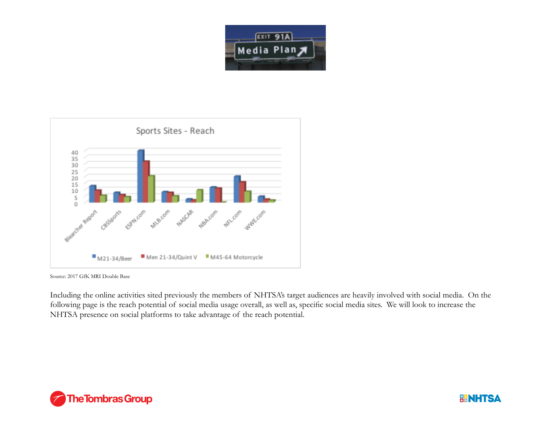![](_page_26_Picture_0.jpeg)

![](_page_26_Figure_1.jpeg)

Source: 2017 GfK MRI Double Base

Including the online activities sited previously the members of NHTSA's target audiences are heavily involved with social media. On the following page is the reach potential of social media usage overall, as well as, specific social media sites. We will look to increase the NHTSA presence on social platforms to take advantage of the reach potential.

![](_page_26_Picture_4.jpeg)

![](_page_26_Picture_5.jpeg)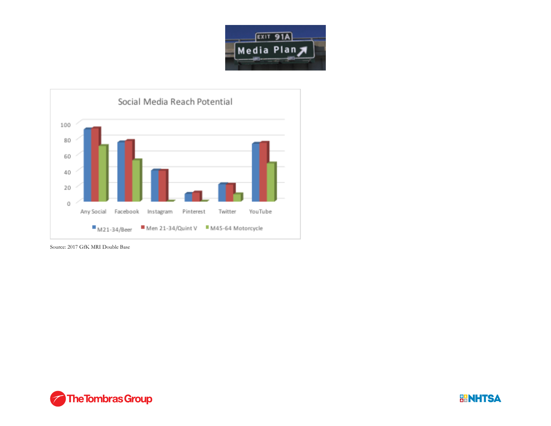![](_page_27_Picture_0.jpeg)

![](_page_27_Figure_1.jpeg)

Source: 2017 GfK MRI Double Base

![](_page_27_Picture_3.jpeg)

![](_page_27_Picture_4.jpeg)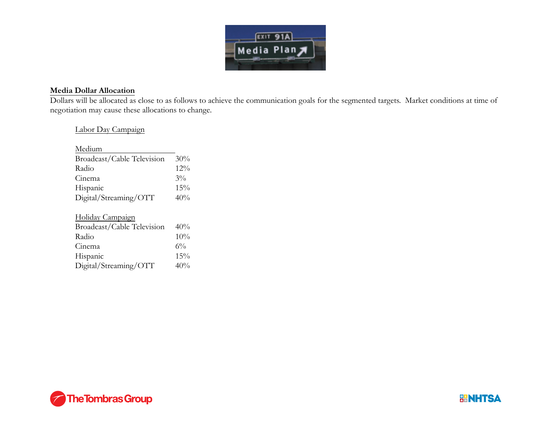![](_page_28_Picture_0.jpeg)

### **Media Dollar Allocation**

Dollars will be allocated as close to as follows to achieve the communication goals for the segmented targets. Market conditions at time of negotiation may cause these allocations to change.

### Labor Day Campaign

| Medium                     |       |
|----------------------------|-------|
| Broadcast/Cable Television | 30%   |
| Radio                      | 12%   |
| Cinema                     | $3\%$ |
| Hispanic                   | 15%   |
| Digital/Streaming/OTT      | 40%   |
|                            |       |
| Holiday Campaign           |       |
| Broadcast/Cable Television | 40%   |
| Radio                      | 10%   |
| Cinema                     | $6\%$ |
| Hispanic                   | 15%   |
| Digital/Streaming/<br>OTT  | 40%   |

![](_page_28_Picture_5.jpeg)

![](_page_28_Picture_6.jpeg)